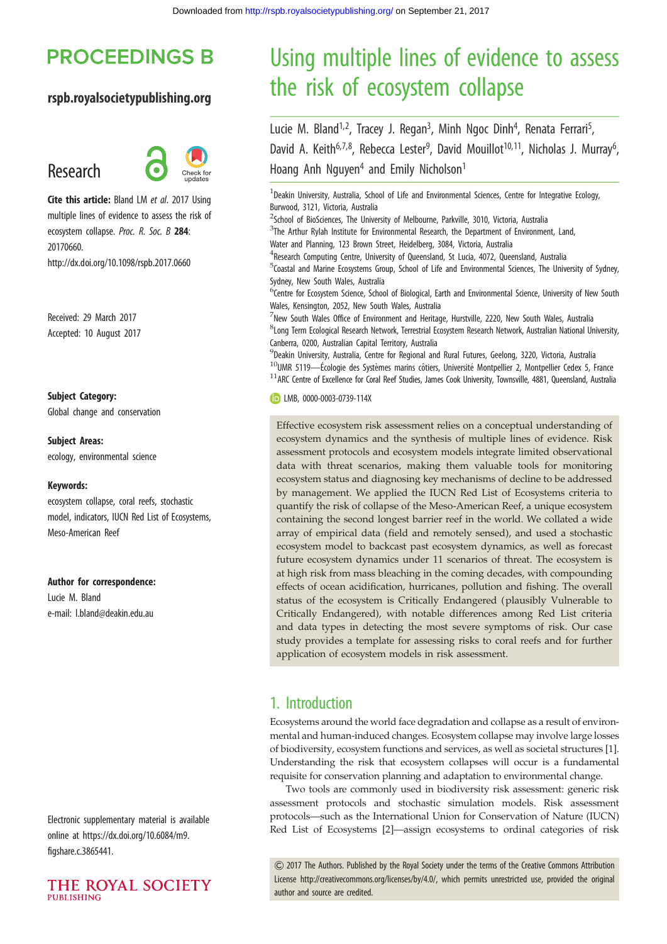# **PROCEEDINGS B**

## rspb.royalsocietypublishing.org

# Research



Cite this article: Bland LM et al. 2017 Using multiple lines of evidence to assess the risk of ecosystem collapse. Proc. R. Soc. B 284: 20170660. http://dx.doi.org/10.1098/rspb.2017.0660

Received: 29 March 2017 Accepted: 10 August 2017

#### Subject Category:

Global change and conservation

#### Subject Areas:

ecology, environmental science

#### Keywords:

ecosystem collapse, coral reefs, stochastic model, indicators, IUCN Red List of Ecosystems, Meso-American Reef

#### Author for correspondence:

Lucie M. Bland e-mail: [l.bland@deakin.edu.au](mailto:l.bland@deakin.edu.au)

Electronic supplementary material is available online at [https://dx.doi.org/10.6084/m9.](https://dx.doi.org/10.6084/m9.figshare.c.3865441) [figshare.c.3865441](https://dx.doi.org/10.6084/m9.figshare.c.3865441).

THE ROYAL SOCIETY **PUBLISHING** 

# Using multiple lines of evidence to assess the risk of ecosystem collapse

Lucie M. Bland<sup>1,2</sup>, Tracey J. Regan<sup>3</sup>, Minh Ngoc Dinh<sup>4</sup>, Renata Ferrari<sup>5</sup> .<br>, David A. Keith<sup>6,7,8</sup>, Rebecca Lester<sup>9</sup>, David Mouillot<sup>10,11</sup>, Nicholas J. Murray<sup>6</sup> .<br>ו Hoang Anh Nguyen<sup>4</sup> and Emily Nicholson<sup>1</sup>

<sup>1</sup> Deakin University, Australia, School of Life and Environmental Sciences, Centre for Integrative Ecology, Burwood, 3121, Victoria, Australia <sup>2</sup>School of BioSciences, The University of Melbourne, Parkville, 3010, Victoria, Australia <sup>3</sup>The Arthur Rylah Institute for Environmental Research, the Department of Environment, Land, Water and Planning, 123 Brown Street, Heidelberg, 3084, Victoria, Australia <sup>4</sup> Research Computing Centre, University of Queensland, St Lucia, 4072, Queensland, Australia <sup>5</sup>Coastal and Marine Ecosystems Group, School of Life and Environmental Sciences, The University of Sydney, Sydney, New South Wales, Australia <sup>6</sup>Centre for Ecosystem Science, School of Biological, Earth and Environmental Science, University of New South Wales, Kensington, 2052, New South Wales, Australia  $^7$ New South Wales Office of Environment and Heritage, Hurstville, 2220, New South Wales, Australia 8 Long Term Ecological Research Network, Terrestrial Ecosystem Research Network, Australian National University, Canberra, 0200, Australian Capital Territory, Australia 9 Deakin University, Australia, Centre for Regional and Rural Futures, Geelong, 3220, Victoria, Australia  $10$ UMR 5119-Écologie des Systèmes marins côtiers, Université Montpellier 2, Montpellier Cedex 5, France  $11$ ARC Centre of Excellence for Coral Reef Studies, James Cook University, Townsville, 4881, Queensland, Australia **LMB, [0000-0003-0739-114X](http://orcid.org/0000-0003-0739-114X)** Effective ecosystem risk assessment relies on a conceptual understanding of ecosystem dynamics and the synthesis of multiple lines of evidence. Risk assessment protocols and ecosystem models integrate limited observational data with threat scenarios, making them valuable tools for monitoring ecosystem status and diagnosing key mechanisms of decline to be addressed by management. We applied the IUCN Red List of Ecosystems criteria to quantify the risk of collapse of the Meso-American Reef, a unique ecosystem containing the second longest barrier reef in the world. We collated a wide array of empirical data (field and remotely sensed), and used a stochastic ecosystem model to backcast past ecosystem dynamics, as well as forecast

1. Introduction

Ecosystems around the world face degradation and collapse as a result of environmental and human-induced changes. Ecosystem collapse may involve large losses of biodiversity, ecosystem functions and services, as well as societal structures [\[1\]](#page-8-0). Understanding the risk that ecosystem collapses will occur is a fundamental requisite for conservation planning and adaptation to environmental change.

future ecosystem dynamics under 11 scenarios of threat. The ecosystem is at high risk from mass bleaching in the coming decades, with compounding effects of ocean acidification, hurricanes, pollution and fishing. The overall status of the ecosystem is Critically Endangered (plausibly Vulnerable to Critically Endangered), with notable differences among Red List criteria and data types in detecting the most severe symptoms of risk. Our case study provides a template for assessing risks to coral reefs and for further

application of ecosystem models in risk assessment.

Two tools are commonly used in biodiversity risk assessment: generic risk assessment protocols and stochastic simulation models. Risk assessment protocols—such as the International Union for Conservation of Nature (IUCN) Red List of Ecosystems [\[2\]](#page-8-0)—assign ecosystems to ordinal categories of risk

& 2017 The Authors. Published by the Royal Society under the terms of the Creative Commons Attribution License<http://creativecommons.org/licenses/by/4.0/>, which permits unrestricted use, provided the original author and source are credited.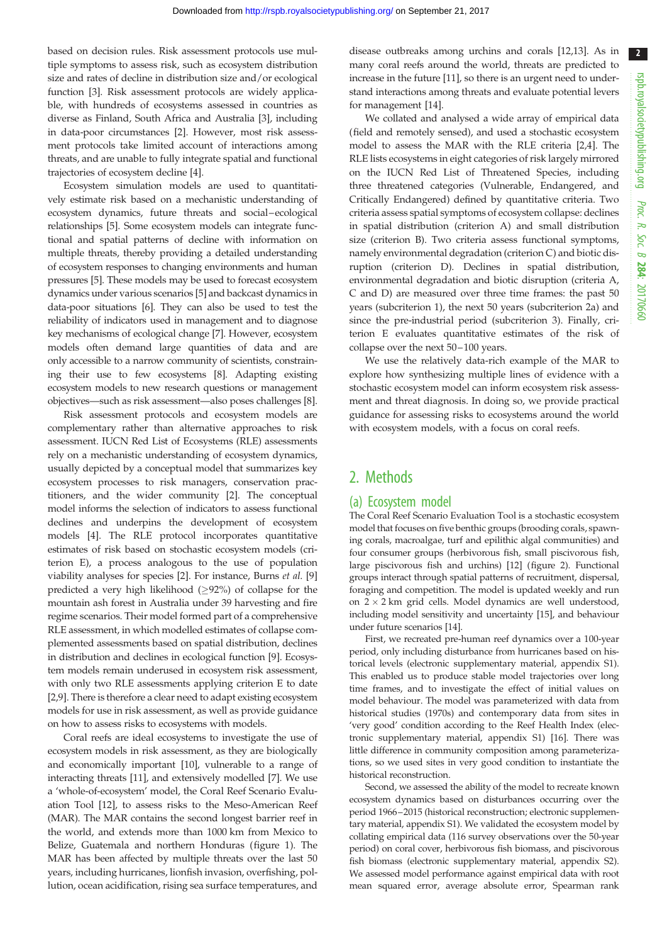$\overline{\mathbf{2}}$ 

based on decision rules. Risk assessment protocols use multiple symptoms to assess risk, such as ecosystem distribution size and rates of decline in distribution size and/or ecological function [\[3\]](#page-8-0). Risk assessment protocols are widely applicable, with hundreds of ecosystems assessed in countries as diverse as Finland, South Africa and Australia [[3](#page-8-0)], including in data-poor circumstances [\[2\]](#page-8-0). However, most risk assessment protocols take limited account of interactions among threats, and are unable to fully integrate spatial and functional trajectories of ecosystem decline [\[4\]](#page-8-0).

Ecosystem simulation models are used to quantitatively estimate risk based on a mechanistic understanding of ecosystem dynamics, future threats and social–ecological relationships [\[5](#page-8-0)]. Some ecosystem models can integrate functional and spatial patterns of decline with information on multiple threats, thereby providing a detailed understanding of ecosystem responses to changing environments and human pressures [[5](#page-8-0)]. These models may be used to forecast ecosystem dynamics under various scenarios [\[5\]](#page-8-0) and backcast dynamics in data-poor situations [\[6\]](#page-8-0). They can also be used to test the reliability of indicators used in management and to diagnose key mechanisms of ecological change [\[7\]](#page-8-0). However, ecosystem models often demand large quantities of data and are only accessible to a narrow community of scientists, constraining their use to few ecosystems [[8](#page-8-0)]. Adapting existing ecosystem models to new research questions or management objectives—such as risk assessment—also poses challenges [\[8](#page-8-0)].

Risk assessment protocols and ecosystem models are complementary rather than alternative approaches to risk assessment. IUCN Red List of Ecosystems (RLE) assessments rely on a mechanistic understanding of ecosystem dynamics, usually depicted by a conceptual model that summarizes key ecosystem processes to risk managers, conservation practitioners, and the wider community [[2](#page-8-0)]. The conceptual model informs the selection of indicators to assess functional declines and underpins the development of ecosystem models [[4](#page-8-0)]. The RLE protocol incorporates quantitative estimates of risk based on stochastic ecosystem models (criterion E), a process analogous to the use of population viability analyses for species [[2](#page-8-0)]. For instance, Burns et al. [\[9\]](#page-8-0) predicted a very high likelihood ( $\geq$ 92%) of collapse for the mountain ash forest in Australia under 39 harvesting and fire regime scenarios. Their model formed part of a comprehensive RLE assessment, in which modelled estimates of collapse complemented assessments based on spatial distribution, declines in distribution and declines in ecological function [\[9\]](#page-8-0). Ecosystem models remain underused in ecosystem risk assessment, with only two RLE assessments applying criterion E to date [\[2,9](#page-8-0)]. There is therefore a clear need to adapt existing ecosystem models for use in risk assessment, as well as provide guidance on how to assess risks to ecosystems with models.

Coral reefs are ideal ecosystems to investigate the use of ecosystem models in risk assessment, as they are biologically and economically important [\[10](#page-8-0)], vulnerable to a range of interacting threats [[11\]](#page-8-0), and extensively modelled [\[7\]](#page-8-0). We use a 'whole-of-ecosystem' model, the Coral Reef Scenario Evaluation Tool [[12\]](#page-8-0), to assess risks to the Meso-American Reef (MAR). The MAR contains the second longest barrier reef in the world, and extends more than 1000 km from Mexico to Belize, Guatemala and northern Honduras ([figure 1\)](#page-2-0). The MAR has been affected by multiple threats over the last 50 years, including hurricanes, lionfish invasion, overfishing, pollution, ocean acidification, rising sea surface temperatures, and

disease outbreaks among urchins and corals [[12,13\]](#page-8-0). As in many coral reefs around the world, threats are predicted to increase in the future [\[11](#page-8-0)], so there is an urgent need to understand interactions among threats and evaluate potential levers for management [\[14](#page-8-0)].

We collated and analysed a wide array of empirical data (field and remotely sensed), and used a stochastic ecosystem model to assess the MAR with the RLE criteria [\[2,4\]](#page-8-0). The RLE lists ecosystems in eight categories of risk largely mirrored on the IUCN Red List of Threatened Species, including three threatened categories (Vulnerable, Endangered, and Critically Endangered) defined by quantitative criteria. Two criteria assess spatial symptoms of ecosystem collapse: declines in spatial distribution (criterion A) and small distribution size (criterion B). Two criteria assess functional symptoms, namely environmental degradation (criterion C) and biotic disruption (criterion D). Declines in spatial distribution, environmental degradation and biotic disruption (criteria A, C and D) are measured over three time frames: the past 50 years (subcriterion 1), the next 50 years (subcriterion 2a) and since the pre-industrial period (subcriterion 3). Finally, criterion E evaluates quantitative estimates of the risk of collapse over the next 50–100 years.

We use the relatively data-rich example of the MAR to explore how synthesizing multiple lines of evidence with a stochastic ecosystem model can inform ecosystem risk assessment and threat diagnosis. In doing so, we provide practical guidance for assessing risks to ecosystems around the world with ecosystem models, with a focus on coral reefs.

# 2. Methods

## (a) Ecosystem model

The Coral Reef Scenario Evaluation Tool is a stochastic ecosystem model that focuses on five benthic groups (brooding corals, spawning corals, macroalgae, turf and epilithic algal communities) and four consumer groups (herbivorous fish, small piscivorous fish, large piscivorous fish and urchins) [\[12](#page-8-0)] [\(figure 2](#page-3-0)). Functional groups interact through spatial patterns of recruitment, dispersal, foraging and competition. The model is updated weekly and run on  $2 \times 2$  km grid cells. Model dynamics are well understood, including model sensitivity and uncertainty [[15](#page-9-0)], and behaviour under future scenarios [[14](#page-8-0)].

First, we recreated pre-human reef dynamics over a 100-year period, only including disturbance from hurricanes based on historical levels (electronic supplementary material, appendix S1). This enabled us to produce stable model trajectories over long time frames, and to investigate the effect of initial values on model behaviour. The model was parameterized with data from historical studies (1970s) and contemporary data from sites in 'very good' condition according to the Reef Health Index (electronic supplementary material, appendix S1) [\[16\]](#page-9-0). There was little difference in community composition among parameterizations, so we used sites in very good condition to instantiate the historical reconstruction.

Second, we assessed the ability of the model to recreate known ecosystem dynamics based on disturbances occurring over the period 1966–2015 (historical reconstruction; electronic supplementary material, appendix S1). We validated the ecosystem model by collating empirical data (116 survey observations over the 50-year period) on coral cover, herbivorous fish biomass, and piscivorous fish biomass (electronic supplementary material, appendix S2). We assessed model performance against empirical data with root mean squared error, average absolute error, Spearman rank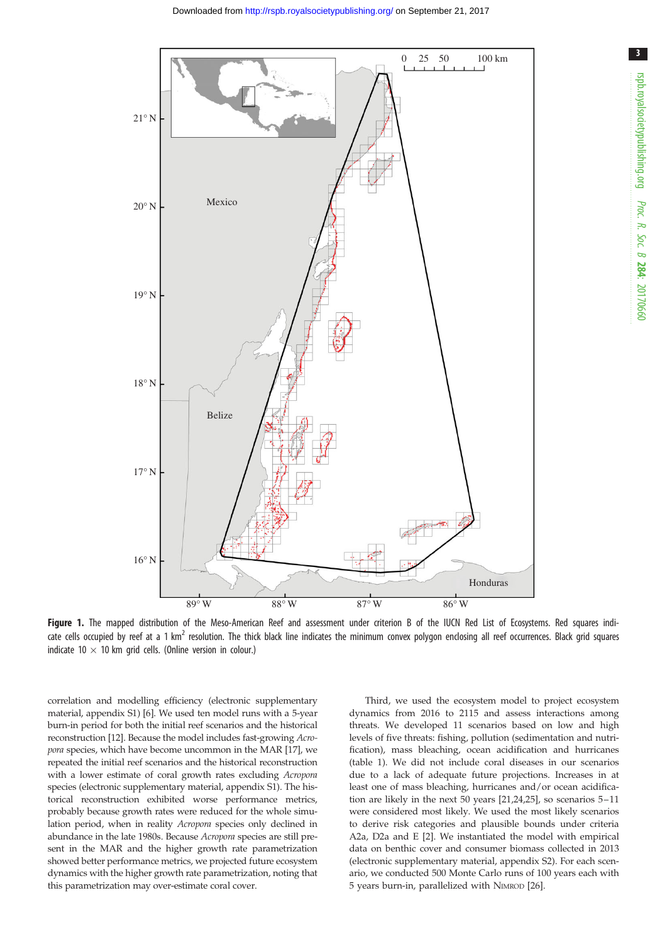<span id="page-2-0"></span>

Figure 1. The mapped distribution of the Meso-American Reef and assessment under criterion B of the IUCN Red List of Ecosystems. Red squares indicate cells occupied by reef at a 1 km<sup>2</sup> resolution. The thick black line indicates the minimum convex polygon enclosing all reef occurrences. Black grid squares indicate 10  $\times$  10 km grid cells. (Online version in colour.)

correlation and modelling efficiency (electronic supplementary material, appendix S1) [\[6](#page-8-0)]. We used ten model runs with a 5-year burn-in period for both the initial reef scenarios and the historical reconstruction [\[12](#page-8-0)]. Because the model includes fast-growing Acropora species, which have become uncommon in the MAR [\[17](#page-9-0)], we repeated the initial reef scenarios and the historical reconstruction with a lower estimate of coral growth rates excluding Acropora species (electronic supplementary material, appendix S1). The historical reconstruction exhibited worse performance metrics, probably because growth rates were reduced for the whole simulation period, when in reality Acropora species only declined in abundance in the late 1980s. Because Acropora species are still present in the MAR and the higher growth rate parametrization showed better performance metrics, we projected future ecosystem dynamics with the higher growth rate parametrization, noting that this parametrization may over-estimate coral cover.

Third, we used the ecosystem model to project ecosystem dynamics from 2016 to 2115 and assess interactions among threats. We developed 11 scenarios based on low and high levels of five threats: fishing, pollution (sedimentation and nutrification), mass bleaching, ocean acidification and hurricanes ([table 1](#page-4-0)). We did not include coral diseases in our scenarios due to a lack of adequate future projections. Increases in at least one of mass bleaching, hurricanes and/or ocean acidification are likely in the next 50 years  $[21,24,25]$  $[21,24,25]$  $[21,24,25]$  $[21,24,25]$ , so scenarios  $5-11$ were considered most likely. We used the most likely scenarios to derive risk categories and plausible bounds under criteria A2a, D2a and E [\[2](#page-8-0)]. We instantiated the model with empirical data on benthic cover and consumer biomass collected in 2013 (electronic supplementary material, appendix S2). For each scenario, we conducted 500 Monte Carlo runs of 100 years each with 5 years burn-in, parallelized with NIMROD [[26](#page-9-0)].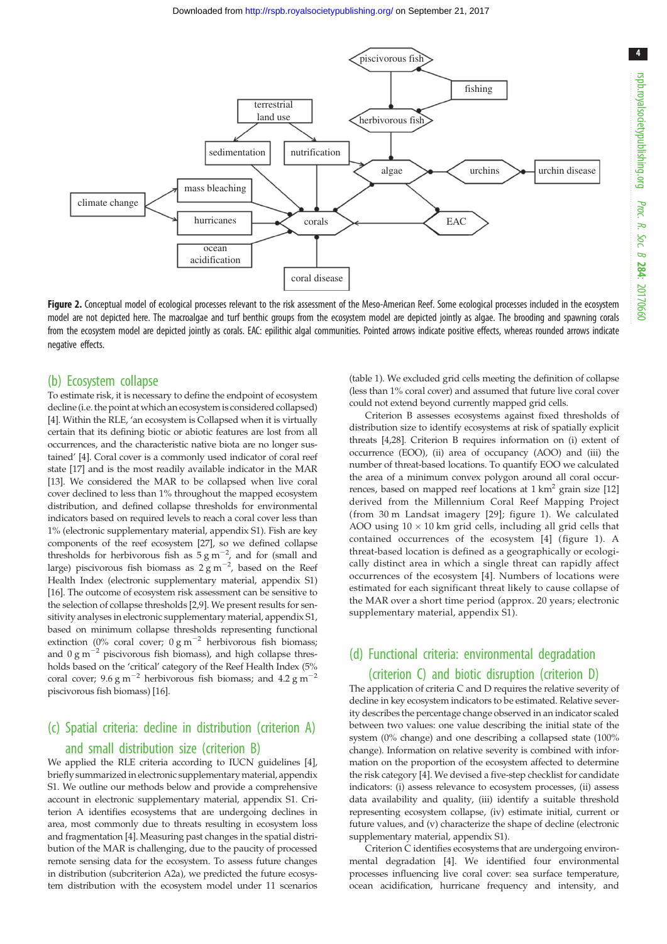4

<span id="page-3-0"></span>

Figure 2. Conceptual model of ecological processes relevant to the risk assessment of the Meso-American Reef. Some ecological processes included in the ecosystem model are not depicted here. The macroalgae and turf benthic groups from the ecosystem model are depicted jointly as algae. The brooding and spawning corals from the ecosystem model are depicted jointly as corals. EAC: epilithic algal communities. Pointed arrows indicate positive effects, whereas rounded arrows indicate negative effects.

#### (b) Ecosystem collapse

To estimate risk, it is necessary to define the endpoint of ecosystem decline (i.e. the point at which an ecosystem is considered collapsed) [\[4](#page-8-0)]. Within the RLE, 'an ecosystem is Collapsed when it is virtually certain that its defining biotic or abiotic features are lost from all occurrences, and the characteristic native biota are no longer sustained' [[4](#page-8-0)]. Coral cover is a commonly used indicator of coral reef state [[17](#page-9-0)] and is the most readily available indicator in the MAR [\[13\]](#page-8-0). We considered the MAR to be collapsed when live coral cover declined to less than 1% throughout the mapped ecosystem distribution, and defined collapse thresholds for environmental indicators based on required levels to reach a coral cover less than 1% (electronic supplementary material, appendix S1). Fish are key components of the reef ecosystem [[27](#page-9-0)], so we defined collapse thresholds for herbivorous fish as  $5 \text{ g m}^{-2}$ , and for (small and large) piscivorous fish biomass as  $2 \text{ g m}^{-2}$ , based on the Reef Health Index (electronic supplementary material, appendix S1) [\[16\]](#page-9-0). The outcome of ecosystem risk assessment can be sensitive to the selection of collapse thresholds [[2,9\]](#page-8-0). We present results for sensitivity analyses in electronic supplementary material, appendix S1, based on minimum collapse thresholds representing functional extinction (0% coral cover; 0 g m<sup>-2</sup> herbivorous fish biomass; and  $0 \text{ g m}^{-2}$  piscivorous fish biomass), and high collapse thresholds based on the 'critical' category of the Reef Health Index (5% coral cover;  $9.6 \text{ g m}^{-2}$  herbivorous fish biomass; and  $4.2 \text{ g m}^{-2}$ piscivorous fish biomass) [[16](#page-9-0)].

# (c) Spatial criteria: decline in distribution (criterion A) and small distribution size (criterion B)

We applied the RLE criteria according to IUCN guidelines [[4\]](#page-8-0), briefly summarized in electronic supplementarymaterial, appendix S1. We outline our methods below and provide a comprehensive account in electronic supplementary material, appendix S1. Criterion A identifies ecosystems that are undergoing declines in area, most commonly due to threats resulting in ecosystem loss and fragmentation [\[4](#page-8-0)]. Measuring past changes in the spatial distribution of the MAR is challenging, due to the paucity of processed remote sensing data for the ecosystem. To assess future changes in distribution (subcriterion A2a), we predicted the future ecosystem distribution with the ecosystem model under 11 scenarios

[\(table 1\)](#page-4-0). We excluded grid cells meeting the definition of collapse (less than 1% coral cover) and assumed that future live coral cover could not extend beyond currently mapped grid cells.

Criterion B assesses ecosystems against fixed thresholds of distribution size to identify ecosystems at risk of spatially explicit threats [\[4](#page-8-0),[28](#page-9-0)]. Criterion B requires information on (i) extent of occurrence (EOO), (ii) area of occupancy (AOO) and (iii) the number of threat-based locations. To quantify EOO we calculated the area of a minimum convex polygon around all coral occurrences, based on mapped reef locations at  $1 \text{ km}^2$  grain size [[12](#page-8-0)] derived from the Millennium Coral Reef Mapping Project ( from 30 m Landsat imagery [\[29](#page-9-0)]; [figure 1\)](#page-2-0). We calculated AOO using  $10 \times 10$  km grid cells, including all grid cells that contained occurrences of the ecosystem [[4](#page-8-0)] ( [figure 1](#page-2-0)). A threat-based location is defined as a geographically or ecologically distinct area in which a single threat can rapidly affect occurrences of the ecosystem [[4](#page-8-0)]. Numbers of locations were estimated for each significant threat likely to cause collapse of the MAR over a short time period (approx. 20 years; electronic supplementary material, appendix S1).

# (d) Functional criteria: environmental degradation (criterion C) and biotic disruption (criterion D)

The application of criteria C and D requires the relative severity of decline in key ecosystem indicators to be estimated. Relative severity describes the percentage change observed in an indicator scaled between two values: one value describing the initial state of the system (0% change) and one describing a collapsed state (100% change). Information on relative severity is combined with information on the proportion of the ecosystem affected to determine the risk category [[4](#page-8-0)]. We devised a five-step checklist for candidate indicators: (i) assess relevance to ecosystem processes, (ii) assess data availability and quality, (iii) identify a suitable threshold representing ecosystem collapse, (iv) estimate initial, current or future values, and (v) characterize the shape of decline (electronic supplementary material, appendix S1).

Criterion C identifies ecosystems that are undergoing environmental degradation [[4\]](#page-8-0). We identified four environmental processes influencing live coral cover: sea surface temperature, ocean acidification, hurricane frequency and intensity, and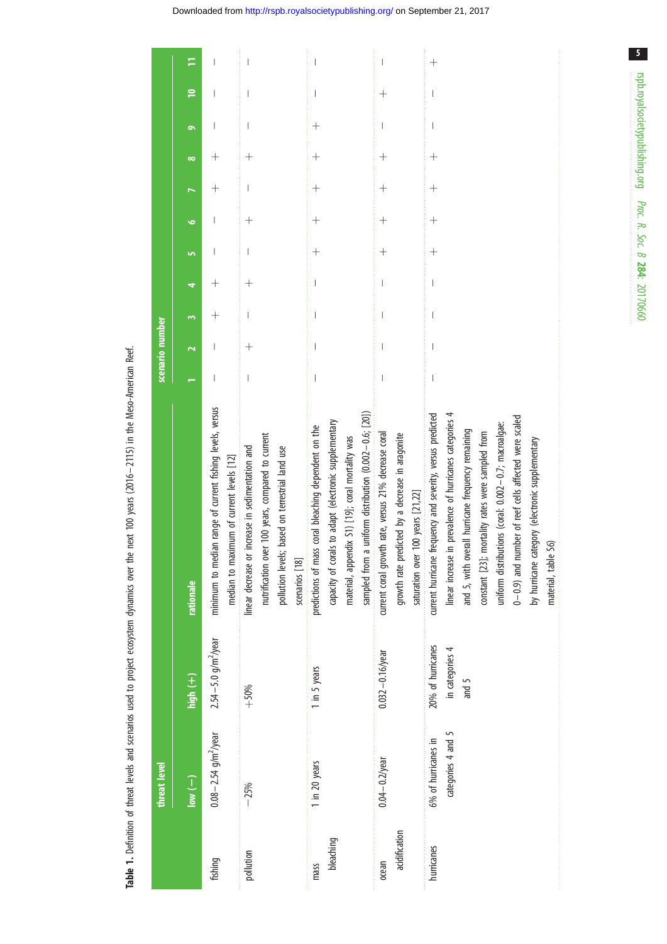<span id="page-4-0"></span>

|                        | threat level                              |                                               |                                                                                                                                                                                                                                                                                                                                                                                                                           | scenario number |                          |                    |                                  |                |        |        |        |                    |                                  |
|------------------------|-------------------------------------------|-----------------------------------------------|---------------------------------------------------------------------------------------------------------------------------------------------------------------------------------------------------------------------------------------------------------------------------------------------------------------------------------------------------------------------------------------------------------------------------|-----------------|--------------------------|--------------------|----------------------------------|----------------|--------|--------|--------|--------------------|----------------------------------|
|                        | $low(-)$                                  | high $(+)$                                    | rationale                                                                                                                                                                                                                                                                                                                                                                                                                 |                 | $\sim$                   |                    |                                  | ۱o             |        | ∞      | ō      |                    | Ξ                                |
| fishing                | $0.08 - 2.54$ g/m <sup>2</sup> /year      | $2.54 - 5.0$ g/m <sup>2</sup> /year           | minimum to median range of current fishing levels, versus<br>median to maximum of current levels [12]                                                                                                                                                                                                                                                                                                                     |                 | $\hspace{0.1mm} +$       | $\hspace{0.1mm} +$ |                                  |                |        |        |        |                    |                                  |
| pollution              | $-25%$                                    | $+50%$                                        | nutrification over 100 years, compared to current<br>linear decrease or increase in sedimentation and<br>pollution levels; based on terrestrial land use<br>scenarios [18]                                                                                                                                                                                                                                                |                 | $\overline{\phantom{a}}$ | $^{+}$             |                                  | $^{+}$         |        | $^{+}$ |        |                    |                                  |
| bleaching<br>mass      | 1 in 20 years                             | 1 in 5 years                                  | sampled from a uniform distribution (0.002-0.6; [20])<br>capacity of corals to adapt (electronic supplementary<br>coral bleaching dependent on the<br>material, appendix S1) [19]; coral mortality was<br>predictions of mass                                                                                                                                                                                             |                 | I                        |                    | $^{+}$                           | $\overline{+}$ | $^{+}$ | $^{+}$ | $^{+}$ | I                  | I                                |
| acidification<br>ocean | $0.04 - 0.2$ /year                        | $0.032 - 0.16$ /year                          | current coral growth rate, versus 21% decrease coral<br>growth rate predicted by a decrease in aragonite<br>100 years [21,22]<br>saturation over                                                                                                                                                                                                                                                                          |                 | I                        |                    | $\overline{+}$                   | $\overline{+}$ |        | $^{+}$ |        | $\hspace{0.1mm} +$ | I                                |
| hurricanes             | categories 4 and 5<br>6% of hurricanes in | 20% of hurricanes<br>in categories 4<br>and 5 | linear increase in prevalence of hurricanes categories 4<br>current hurricane frequency and severity, versus predicted<br>0-0.9) and number of reef cells affected were scaled<br>uniform distributions (coral: 0.002-0.7; macroalgae:<br>and 5, with overall hurricane frequency remaining<br>constant [23]; mortality rates were sampled from<br>by hurricane category (electronic supplementary<br>material, table S6) |                 | I                        |                    | $\hspace{0.1mm} +\hspace{0.1mm}$ | $\overline{+}$ |        | $^{+}$ | I      |                    | $\hspace{0.1mm} +\hspace{0.1mm}$ |

Table 1. Definition of threat levels and scenarios used to project ecosystem dynamics over the next 100 years (2016-2115) in the Meso-American Reef. Table 1. Definition of threat levels and scenarios used to project ecosystem dynamics over the next 100 years (2016 – 2115) in the Meso-American Reef.  $\overline{\phantom{a}}$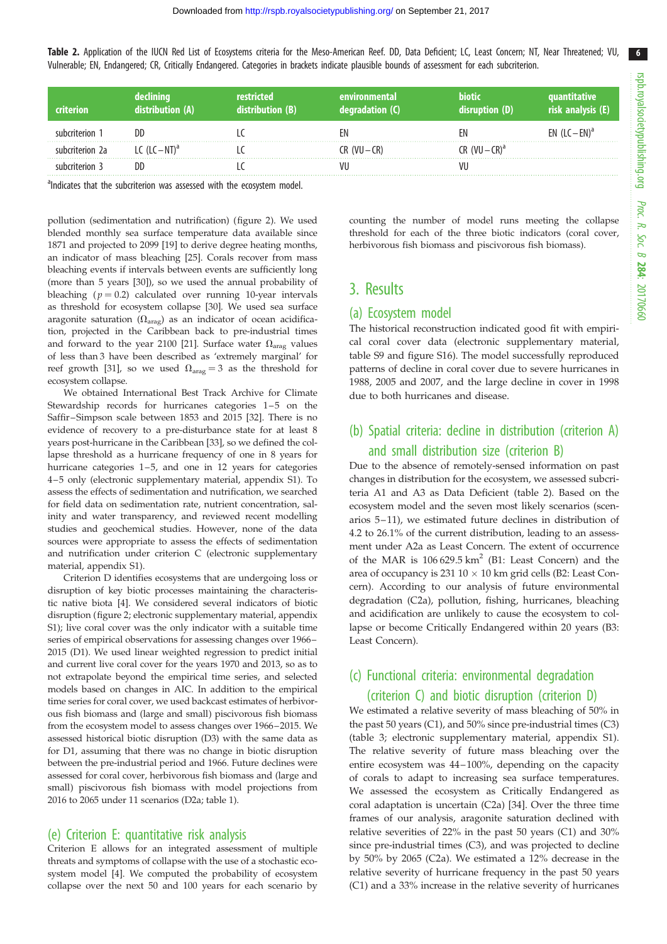6

<span id="page-5-0"></span>Table 2. Application of the IUCN Red List of Ecosystems criteria for the Meso-American Reef. DD, Data Deficient; LC, Least Concern; NT, Near Threatened; VU, Vulnerable; EN, Endangered; CR, Critically Endangered. Categories in brackets indicate plausible bounds of assessment for each subcriterion.

| riterion        | declining<br>distribution (A) | restricted<br>distribution (B) | environmental<br>degradation (C) | biotic<br>disruption (D) | quantitative<br>risk analysis (E) |
|-----------------|-------------------------------|--------------------------------|----------------------------------|--------------------------|-----------------------------------|
| subcriterion 1  | DD                            |                                |                                  | EN                       | $EN$ (LC $-EN)^a$                 |
| subcriterion 2a | LC $(LC-NT)^d$                |                                | CR (VU–CR)                       | $CR (VU - CR)^{a}$       |                                   |
| subcriterion 3  | DD                            |                                |                                  |                          |                                   |

<sup>a</sup>Indicates that the subcriterion was assessed with the ecosystem model.

pollution (sedimentation and nutrification) [\(figure 2](#page-3-0)). We used blended monthly sea surface temperature data available since 1871 and projected to 2099 [\[19\]](#page-9-0) to derive degree heating months, an indicator of mass bleaching [[25](#page-9-0)]. Corals recover from mass bleaching events if intervals between events are sufficiently long (more than 5 years [\[30\]](#page-9-0)), so we used the annual probability of bleaching ( $p = 0.2$ ) calculated over running 10-year intervals as threshold for ecosystem collapse [\[30](#page-9-0)]. We used sea surface aragonite saturation ( $\Omega_{\text{arag}}$ ) as an indicator of ocean acidification, projected in the Caribbean back to pre-industrial times and forward to the year 2100 [\[21\]](#page-9-0). Surface water  $\Omega_{\text{arag}}$  values of less than 3 have been described as 'extremely marginal' for reef growth [[31](#page-9-0)], so we used  $\Omega_{\text{arag}} = 3$  as the threshold for ecosystem collapse.

We obtained International Best Track Archive for Climate Stewardship records for hurricanes categories 1-5 on the Saffir –Simpson scale between 1853 and 2015 [[32](#page-9-0)]. There is no evidence of recovery to a pre-disturbance state for at least 8 years post-hurricane in the Caribbean [\[33\]](#page-9-0), so we defined the collapse threshold as a hurricane frequency of one in 8 years for hurricane categories  $1-5$ , and one in 12 years for categories 4-5 only (electronic supplementary material, appendix S1). To assess the effects of sedimentation and nutrification, we searched for field data on sedimentation rate, nutrient concentration, salinity and water transparency, and reviewed recent modelling studies and geochemical studies. However, none of the data sources were appropriate to assess the effects of sedimentation and nutrification under criterion C (electronic supplementary material, appendix S1).

Criterion D identifies ecosystems that are undergoing loss or disruption of key biotic processes maintaining the characteristic native biota [[4\]](#page-8-0). We considered several indicators of biotic disruption [\(figure 2;](#page-3-0) electronic supplementary material, appendix S1); live coral cover was the only indicator with a suitable time series of empirical observations for assessing changes over 1966– 2015 (D1). We used linear weighted regression to predict initial and current live coral cover for the years 1970 and 2013, so as to not extrapolate beyond the empirical time series, and selected models based on changes in AIC. In addition to the empirical time series for coral cover, we used backcast estimates of herbivorous fish biomass and (large and small) piscivorous fish biomass from the ecosystem model to assess changes over 1966– 2015. We assessed historical biotic disruption (D3) with the same data as for D1, assuming that there was no change in biotic disruption between the pre-industrial period and 1966. Future declines were assessed for coral cover, herbivorous fish biomass and (large and small) piscivorous fish biomass with model projections from 2016 to 2065 under 11 scenarios (D2a; [table 1\)](#page-4-0).

### (e) Criterion E: quantitative risk analysis

Criterion E allows for an integrated assessment of multiple threats and symptoms of collapse with the use of a stochastic ecosystem model [\[4\]](#page-8-0). We computed the probability of ecosystem collapse over the next 50 and 100 years for each scenario by counting the number of model runs meeting the collapse threshold for each of the three biotic indicators (coral cover, herbivorous fish biomass and piscivorous fish biomass).

## 3. Results

#### (a) Ecosystem model

The historical reconstruction indicated good fit with empirical coral cover data (electronic supplementary material, table S9 and figure S16). The model successfully reproduced patterns of decline in coral cover due to severe hurricanes in 1988, 2005 and 2007, and the large decline in cover in 1998 due to both hurricanes and disease.

# (b) Spatial criteria: decline in distribution (criterion A) and small distribution size (criterion B)

Due to the absence of remotely-sensed information on past changes in distribution for the ecosystem, we assessed subcriteria A1 and A3 as Data Deficient (table 2). Based on the ecosystem model and the seven most likely scenarios (scenarios 5 –11), we estimated future declines in distribution of 4.2 to 26.1% of the current distribution, leading to an assessment under A2a as Least Concern. The extent of occurrence of the MAR is  $106629.5 \text{ km}^2$  (B1: Least Concern) and the area of occupancy is 231  $10 \times 10$  km grid cells (B2: Least Concern). According to our analysis of future environmental degradation (C2a), pollution, fishing, hurricanes, bleaching and acidification are unlikely to cause the ecosystem to collapse or become Critically Endangered within 20 years (B3: Least Concern).

## (c) Functional criteria: environmental degradation

#### (criterion C) and biotic disruption (criterion D)

We estimated a relative severity of mass bleaching of 50% in the past 50 years (C1), and 50% since pre-industrial times (C3) ([table 3](#page-6-0); electronic supplementary material, appendix S1). The relative severity of future mass bleaching over the entire ecosystem was 44–100%, depending on the capacity of corals to adapt to increasing sea surface temperatures. We assessed the ecosystem as Critically Endangered as coral adaptation is uncertain (C2a) [[34\]](#page-9-0). Over the three time frames of our analysis, aragonite saturation declined with relative severities of 22% in the past 50 years (C1) and 30% since pre-industrial times (C3), and was projected to decline by 50% by 2065 (C2a). We estimated a 12% decrease in the relative severity of hurricane frequency in the past 50 years (C1) and a 33% increase in the relative severity of hurricanes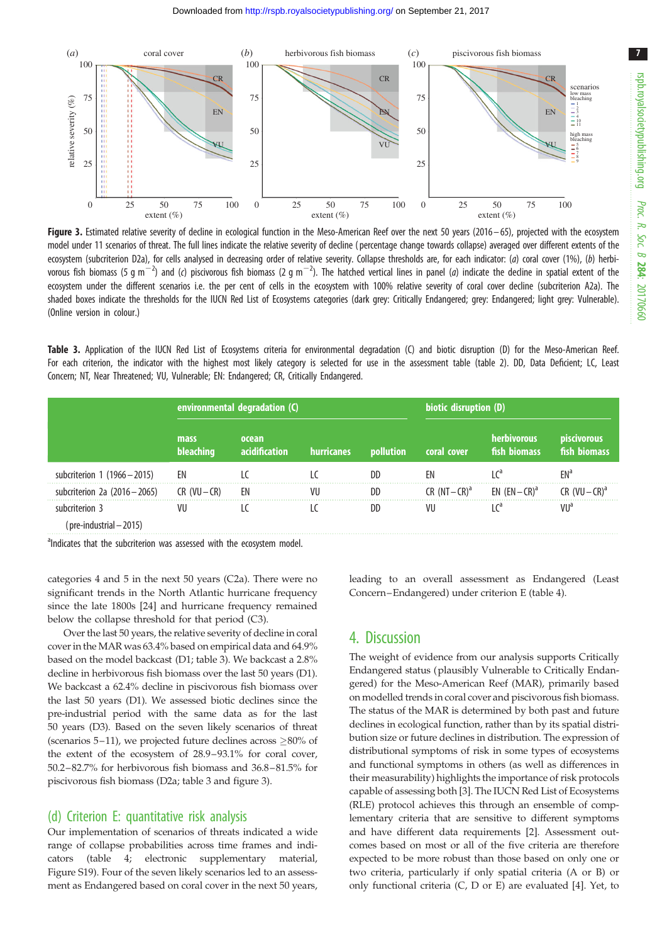<span id="page-6-0"></span>

Figure 3. Estimated relative severity of decline in ecological function in the Meso-American Reef over the next 50 years (2016–65), projected with the ecosystem model under 11 scenarios of threat. The full lines indicate the relative severity of decline ( percentage change towards collapse) averaged over different extents of the ecosystem (subcriterion D2a), for cells analysed in decreasing order of relative severity. Collapse thresholds are, for each indicator: (a) coral cover (1%), (b) herbivorous fish biomass (5 g m $^{-2}$ ) and (c) piscivorous fish biomass (2 g m $^{-2}$ ). The hatched vertical lines in panel (a) indicate the decline in spatial extent of the ecosystem under the different scenarios i.e. the per cent of cells in the ecosystem with 100% relative severity of coral cover decline (subcriterion A2a). The shaded boxes indicate the thresholds for the IUCN Red List of Ecosystems categories (dark grey: Critically Endangered; grey: Endangered; light grey: Vulnerable). (Online version in colour.)

Table 3. Application of the IUCN Red List of Ecosystems criteria for environmental degradation (C) and biotic disruption (D) for the Meso-American Reef. For each criterion, the indicator with the highest most likely category is selected for use in the assessment table ([table 2\)](#page-5-0). DD, Data Deficient; LC, Least Concern; NT, Near Threatened; VU, Vulnerable; EN: Endangered; CR, Critically Endangered.

|                               |                   | environmental degradation (C) |                   |           |                 | biotic disruption (D)              |                             |  |
|-------------------------------|-------------------|-------------------------------|-------------------|-----------|-----------------|------------------------------------|-----------------------------|--|
|                               | mass<br>bleaching | ocean<br>acidification        | <b>hurricanes</b> | pollution | coral cover     | <b>herbivorous</b><br>fish biomass | piscivorous<br>fish biomass |  |
| subcriterion 1 (1966 - 2015)  | EN                |                               |                   | DD.       | EN              |                                    | EN <sup>a</sup>             |  |
| subcriterion 2a (2016 - 2065) | $CR (VU - CR)$    | EN                            | VU                | DD        | $CR(NT - CR)^a$ | EN $(EN-CR)^a$                     | $CR (VU - CR)^{a}$          |  |
| subcriterion 3                |                   |                               |                   | DD        | VU              |                                    | VU <sup>a</sup>             |  |
| (pre-industrial – 2015)       |                   |                               |                   |           |                 |                                    |                             |  |

<sup>a</sup>Indicates that the subcriterion was assessed with the ecosystem model.

categories 4 and 5 in the next 50 years (C2a). There were no significant trends in the North Atlantic hurricane frequency since the late 1800s [[24\]](#page-9-0) and hurricane frequency remained below the collapse threshold for that period (C3).

Over the last 50 years, the relative severity of decline in coral cover in the MAR was 63.4% based on empirical data and 64.9% based on the model backcast (D1; table 3). We backcast a 2.8% decline in herbivorous fish biomass over the last 50 years (D1). We backcast a 62.4% decline in piscivorous fish biomass over the last 50 years (D1). We assessed biotic declines since the pre-industrial period with the same data as for the last 50 years (D3). Based on the seven likely scenarios of threat (scenarios 5–11), we projected future declines across  $\geq$ 80% of the extent of the ecosystem of 28.9–93.1% for coral cover, 50.2–82.7% for herbivorous fish biomass and 36.8–81.5% for piscivorous fish biomass (D2a; table 3 and figure 3).

#### (d) Criterion E: quantitative risk analysis

Our implementation of scenarios of threats indicated a wide range of collapse probabilities across time frames and indicators [\(table 4](#page-7-0); electronic supplementary material, Figure S19). Four of the seven likely scenarios led to an assessment as Endangered based on coral cover in the next 50 years, leading to an overall assessment as Endangered (Least Concern–Endangered) under criterion E [\(table 4\)](#page-7-0).

## 4. Discussion

The weight of evidence from our analysis supports Critically Endangered status (plausibly Vulnerable to Critically Endangered) for the Meso-American Reef (MAR), primarily based on modelled trends in coral cover and piscivorous fish biomass. The status of the MAR is determined by both past and future declines in ecological function, rather than by its spatial distribution size or future declines in distribution. The expression of distributional symptoms of risk in some types of ecosystems and functional symptoms in others (as well as differences in their measurability) highlights the importance of risk protocols capable of assessing both [[3](#page-8-0)]. The IUCN Red List of Ecosystems (RLE) protocol achieves this through an ensemble of complementary criteria that are sensitive to different symptoms and have different data requirements [\[2\]](#page-8-0). Assessment outcomes based on most or all of the five criteria are therefore expected to be more robust than those based on only one or two criteria, particularly if only spatial criteria (A or B) or only functional criteria (C, D or E) are evaluated [[4](#page-8-0)]. Yet, to

7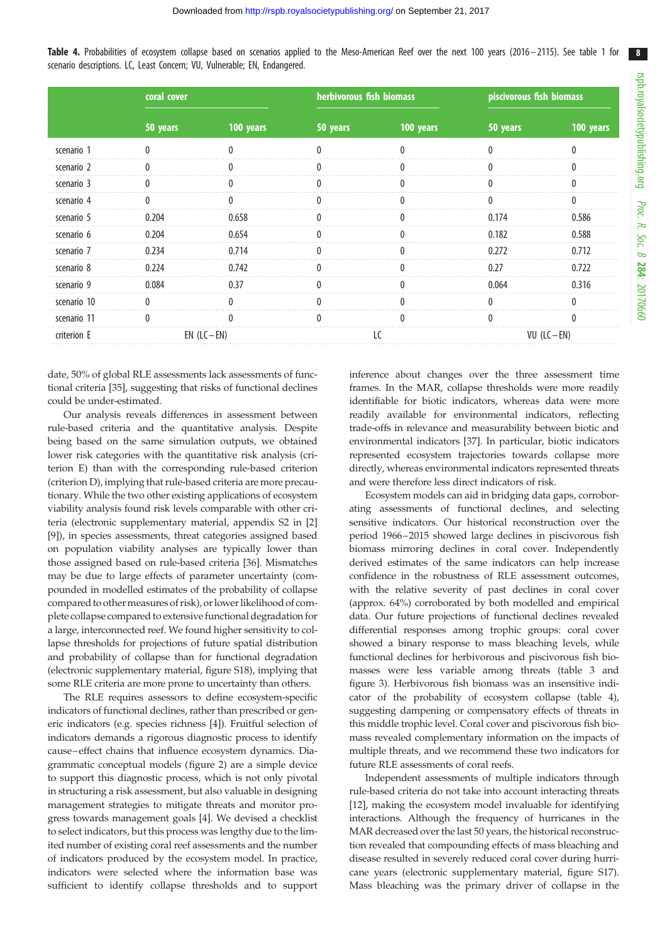<span id="page-7-0"></span>Table 4. Probabilities of ecosystem collapse based on scenarios applied to the Meso-American Reef over the next 100 years (2016 – 2115). See [table 1](#page-4-0) for scenario descriptions. LC, Least Concern; VU, Vulnerable; EN, Endangered.

|             | coral cover      |           | herbivorous fish biomass |           | piscivorous fish biomass |           |
|-------------|------------------|-----------|--------------------------|-----------|--------------------------|-----------|
|             | 50 years         | 100 years | 50 years                 | 100 years | 50 years                 | 100 years |
| scenario 1  |                  |           |                          |           |                          |           |
| scenario 2  |                  |           |                          |           |                          |           |
| scenario 3  |                  |           |                          |           |                          |           |
| scenario 4  |                  |           |                          |           |                          |           |
| scenario 5  | 0.204            | 0.658     |                          |           | 0.174                    | 0.586     |
| scenario 6  | 0.204            | 0.654     |                          |           | 0.182                    | 0.588     |
| scenario 7  | 0.234            | 0.714     |                          |           | 0.272                    | 0.712     |
| scenario 8  | 0.224            | 0.742     |                          |           | 0.27                     | 0.722     |
| scenario 9  | 0.084            | 0.37      |                          |           | 0.064                    | 0.316     |
| scenario 10 |                  |           |                          |           |                          |           |
| scenario 11 |                  |           |                          |           |                          |           |
| criterion E | $EN$ (LC $-EN$ ) |           |                          |           | $VU$ (LC $-EN$ )         |           |

date, 50% of global RLE assessments lack assessments of functional criteria [\[35](#page-9-0)], suggesting that risks of functional declines could be under-estimated.

Our analysis reveals differences in assessment between rule-based criteria and the quantitative analysis. Despite being based on the same simulation outputs, we obtained lower risk categories with the quantitative risk analysis (criterion E) than with the corresponding rule-based criterion (criterion D), implying that rule-based criteria are more precautionary. While the two other existing applications of ecosystem viability analysis found risk levels comparable with other criteria (electronic supplementary material, appendix S2 in [\[2\]](#page-8-0) [\[9\]](#page-8-0)), in species assessments, threat categories assigned based on population viability analyses are typically lower than those assigned based on rule-based criteria [[36\]](#page-9-0). Mismatches may be due to large effects of parameter uncertainty (compounded in modelled estimates of the probability of collapse compared to other measures of risk), or lower likelihood of complete collapse compared to extensive functional degradation for a large, interconnected reef. We found higher sensitivity to collapse thresholds for projections of future spatial distribution and probability of collapse than for functional degradation (electronic supplementary material, figure S18), implying that some RLE criteria are more prone to uncertainty than others.

The RLE requires assessors to define ecosystem-specific indicators of functional declines, rather than prescribed or generic indicators (e.g. species richness [[4](#page-8-0)]). Fruitful selection of indicators demands a rigorous diagnostic process to identify cause–effect chains that influence ecosystem dynamics. Diagrammatic conceptual models [\(figure 2\)](#page-3-0) are a simple device to support this diagnostic process, which is not only pivotal in structuring a risk assessment, but also valuable in designing management strategies to mitigate threats and monitor progress towards management goals [[4](#page-8-0)]. We devised a checklist to select indicators, but this process was lengthy due to the limited number of existing coral reef assessments and the number of indicators produced by the ecosystem model. In practice, indicators were selected where the information base was sufficient to identify collapse thresholds and to support

inference about changes over the three assessment time frames. In the MAR, collapse thresholds were more readily identifiable for biotic indicators, whereas data were more readily available for environmental indicators, reflecting trade-offs in relevance and measurability between biotic and environmental indicators [[37\]](#page-9-0). In particular, biotic indicators represented ecosystem trajectories towards collapse more directly, whereas environmental indicators represented threats and were therefore less direct indicators of risk.

Ecosystem models can aid in bridging data gaps, corroborating assessments of functional declines, and selecting sensitive indicators. Our historical reconstruction over the period 1966–2015 showed large declines in piscivorous fish biomass mirroring declines in coral cover. Independently derived estimates of the same indicators can help increase confidence in the robustness of RLE assessment outcomes, with the relative severity of past declines in coral cover (approx. 64%) corroborated by both modelled and empirical data. Our future projections of functional declines revealed differential responses among trophic groups: coral cover showed a binary response to mass bleaching levels, while functional declines for herbivorous and piscivorous fish biomasses were less variable among threats ([table 3](#page-6-0) and [figure 3\)](#page-6-0). Herbivorous fish biomass was an insensitive indicator of the probability of ecosystem collapse (table 4), suggesting dampening or compensatory effects of threats in this middle trophic level. Coral cover and piscivorous fish biomass revealed complementary information on the impacts of multiple threats, and we recommend these two indicators for future RLE assessments of coral reefs.

Independent assessments of multiple indicators through rule-based criteria do not take into account interacting threats [[12\]](#page-8-0), making the ecosystem model invaluable for identifying interactions. Although the frequency of hurricanes in the MAR decreased over the last 50 years, the historical reconstruction revealed that compounding effects of mass bleaching and disease resulted in severely reduced coral cover during hurricane years (electronic supplementary material, figure S17). Mass bleaching was the primary driver of collapse in the

8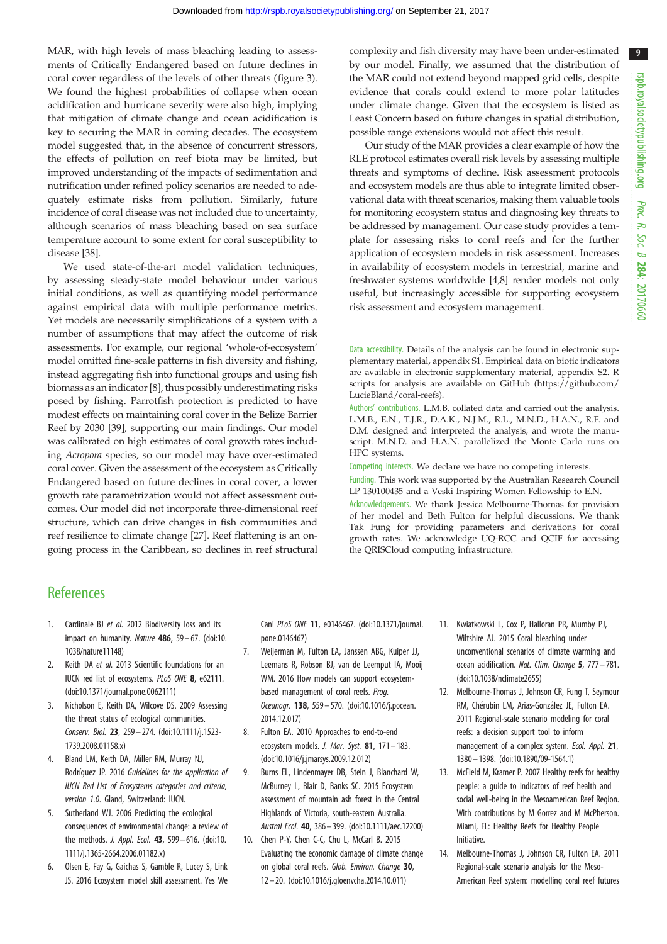9

<span id="page-8-0"></span>MAR, with high levels of mass bleaching leading to assessments of Critically Endangered based on future declines in coral cover regardless of the levels of other threats [\(figure 3](#page-6-0)). We found the highest probabilities of collapse when ocean acidification and hurricane severity were also high, implying that mitigation of climate change and ocean acidification is key to securing the MAR in coming decades. The ecosystem model suggested that, in the absence of concurrent stressors, the effects of pollution on reef biota may be limited, but improved understanding of the impacts of sedimentation and nutrification under refined policy scenarios are needed to adequately estimate risks from pollution. Similarly, future incidence of coral disease was not included due to uncertainty, although scenarios of mass bleaching based on sea surface temperature account to some extent for coral susceptibility to disease [\[38\]](#page-9-0).

We used state-of-the-art model validation techniques, by assessing steady-state model behaviour under various initial conditions, as well as quantifying model performance against empirical data with multiple performance metrics. Yet models are necessarily simplifications of a system with a number of assumptions that may affect the outcome of risk assessments. For example, our regional 'whole-of-ecosystem' model omitted fine-scale patterns in fish diversity and fishing, instead aggregating fish into functional groups and using fish biomass as an indicator [8], thus possibly underestimating risks posed by fishing. Parrotfish protection is predicted to have modest effects on maintaining coral cover in the Belize Barrier Reef by 2030 [\[39](#page-9-0)], supporting our main findings. Our model was calibrated on high estimates of coral growth rates including Acropora species, so our model may have over-estimated coral cover. Given the assessment of the ecosystem as Critically Endangered based on future declines in coral cover, a lower growth rate parametrization would not affect assessment outcomes. Our model did not incorporate three-dimensional reef structure, which can drive changes in fish communities and reef resilience to climate change [[27\]](#page-9-0). Reef flattening is an ongoing process in the Caribbean, so declines in reef structural complexity and fish diversity may have been under-estimated by our model. Finally, we assumed that the distribution of the MAR could not extend beyond mapped grid cells, despite evidence that corals could extend to more polar latitudes under climate change. Given that the ecosystem is listed as Least Concern based on future changes in spatial distribution, possible range extensions would not affect this result.

Our study of the MAR provides a clear example of how the RLE protocol estimates overall risk levels by assessing multiple threats and symptoms of decline. Risk assessment protocols and ecosystem models are thus able to integrate limited observational data with threat scenarios, making them valuable tools for monitoring ecosystem status and diagnosing key threats to be addressed by management. Our case study provides a template for assessing risks to coral reefs and for the further application of ecosystem models in risk assessment. Increases in availability of ecosystem models in terrestrial, marine and freshwater systems worldwide [4,8] render models not only useful, but increasingly accessible for supporting ecosystem risk assessment and ecosystem management.

Data accessibility. Details of the analysis can be found in electronic supplementary material, appendix S1. Empirical data on biotic indicators are available in electronic supplementary material, appendix S2. R scripts for analysis are available on GitHub ([https://github.com/](https://github.com/LucieBland/coral-reefs) [LucieBland/coral-reefs\)](https://github.com/LucieBland/coral-reefs).

Authors' contributions. L.M.B. collated data and carried out the analysis. L.M.B., E.N., T.J.R., D.A.K., N.J.M., R.L., M.N.D., H.A.N., R.F. and D.M. designed and interpreted the analysis, and wrote the manuscript. M.N.D. and H.A.N. parallelized the Monte Carlo runs on HPC systems.

Competing interests. We declare we have no competing interests.

Funding. This work was supported by the Australian Research Council LP 130100435 and a Veski Inspiring Women Fellowship to E.N.

Acknowledgements. We thank Jessica Melbourne-Thomas for provision of her model and Beth Fulton for helpful discussions. We thank Tak Fung for providing parameters and derivations for coral growth rates. We acknowledge UQ-RCC and QCIF for accessing the QRISCloud computing infrastructure.

# **References**

- 1. Cardinale BJ et al. 2012 Biodiversity loss and its impact on humanity. Nature  $486$ ,  $59-67$ . ([doi:10.](http://dx.doi.org/10.1038/nature11148) [1038/nature11148](http://dx.doi.org/10.1038/nature11148))
- 2. Keith DA et al. 2013 Scientific foundations for an IUCN red list of ecosystems. PLoS ONE 8, e62111. [\(doi:10.1371/journal.pone.0062111\)](http://dx.doi.org/10.1371/journal.pone.0062111)
- 3. Nicholson E, Keith DA, Wilcove DS. 2009 Assessing the threat status of ecological communities. Conserv. Biol. 23, 259 – 274. ([doi:10.1111/j.1523-](http://dx.doi.org/10.1111/j.1523-1739.2008.01158.x) [1739.2008.01158.x](http://dx.doi.org/10.1111/j.1523-1739.2008.01158.x))
- 4. Bland LM, Keith DA, Miller RM, Murray NJ, Rodríguez JP. 2016 Guidelines for the application of IUCN Red List of Ecosystems categories and criteria, version 1.0. Gland, Switzerland: IUCN.
- 5. Sutherland WJ. 2006 Predicting the ecological consequences of environmental change: a review of the methods. *J. Appl. Ecol.* **43**, 599-616. [\(doi:10.](http://dx.doi.org/10.1111/j.1365-2664.2006.01182.x) [1111/j.1365-2664.2006.01182.x](http://dx.doi.org/10.1111/j.1365-2664.2006.01182.x))
- 6. Olsen E, Fay G, Gaichas S, Gamble R, Lucey S, Link JS. 2016 Ecosystem model skill assessment. Yes We

Can! PLoS ONE 11, e0146467. ([doi:10.1371/journal.](http://dx.doi.org/10.1371/journal.pone.0146467) [pone.0146467\)](http://dx.doi.org/10.1371/journal.pone.0146467)

- 7. Weijerman M, Fulton EA, Janssen ABG, Kuiper JJ, Leemans R, Robson BJ, van de Leemput IA, Mooij WM. 2016 How models can support ecosystembased management of coral reefs. Prog. Oceanogr. 138, 559 – 570. [\(doi:10.1016/j.pocean.](http://dx.doi.org/10.1016/j.pocean.2014.12.017) [2014.12.017\)](http://dx.doi.org/10.1016/j.pocean.2014.12.017)
- 8. Fulton EA. 2010 Approaches to end-to-end ecosystem models. J. Mar. Syst. 81, 171-183. [\(doi:10.1016/j.jmarsys.2009.12.012\)](http://dx.doi.org/10.1016/j.jmarsys.2009.12.012)
- 9. Burns EL, Lindenmayer DB, Stein J, Blanchard W, McBurney L, Blair D, Banks SC. 2015 Ecosystem assessment of mountain ash forest in the Central Highlands of Victoria, south-eastern Australia. Austral Ecol. 40, 386– 399. ([doi:10.1111/aec.12200\)](http://dx.doi.org/10.1111/aec.12200)
- 10. Chen P-Y, Chen C-C, Chu L, McCarl B. 2015 Evaluating the economic damage of climate change on global coral reefs. Glob. Environ. Change 30, 12 – 20. ([doi:10.1016/j.gloenvcha.2014.10.011\)](http://dx.doi.org/10.1016/j.gloenvcha.2014.10.011)
- 11. Kwiatkowski L, Cox P, Halloran PR, Mumby PJ, Wiltshire AJ. 2015 Coral bleaching under unconventional scenarios of climate warming and ocean acidification. Nat. Clim. Change 5, 777 – 781. ([doi:10.1038/nclimate2655](http://dx.doi.org/10.1038/nclimate2655))
- 12. Melbourne-Thomas J, Johnson CR, Fung T, Seymour RM, Chérubin LM, Arias-González JE, Fulton EA. 2011 Regional-scale scenario modeling for coral reefs: a decision support tool to inform management of a complex system. Ecol. Appl. 21, 1380– 1398. ([doi:10.1890/09-1564.1](http://dx.doi.org/10.1890/09-1564.1))
- 13. McField M, Kramer P. 2007 Healthy reefs for healthy people: a guide to indicators of reef health and social well-being in the Mesoamerican Reef Region. With contributions by M Gorrez and M McPherson. Miami, FL: Healthy Reefs for Healthy People Initiative.
- 14. Melbourne-Thomas J, Johnson CR, Fulton EA. 2011 Regional-scale scenario analysis for the Meso-American Reef system: modelling coral reef futures